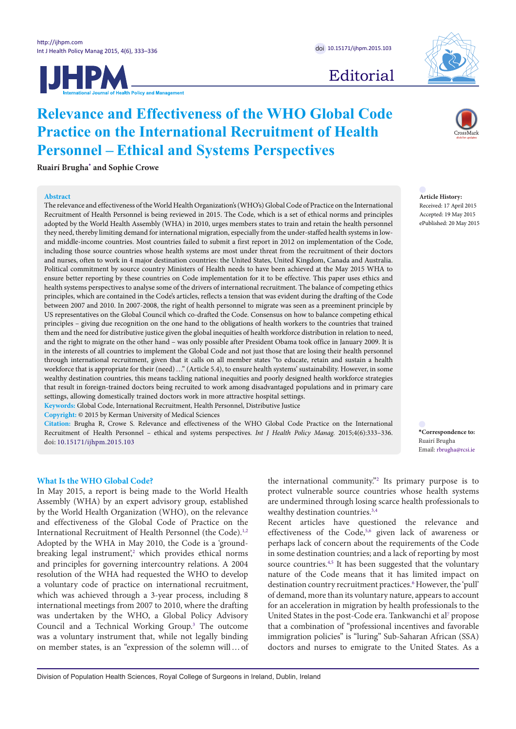

Editorial

# **Relevance and Effectiveness of the WHO Global Code Practice on the International Recruitment of Health Personnel – Ethical and Systems Perspectives**

**Ruairí Brugha[\\*](#page-0-0) and Sophie Crowe**

## **Abstract**

The relevance and effectiveness of the World Health Organization's (WHO's) Global Code of Practice on the International Recruitment of Health Personnel is being reviewed in 2015. The Code, which is a set of ethical norms and principles adopted by the World Health Assembly (WHA) in 2010, urges members states to train and retain the health personnel they need, thereby limiting demand for international migration, especially from the under-staffed health systems in lowand middle-income countries. Most countries failed to submit a first report in 2012 on implementation of the Code, including those source countries whose health systems are most under threat from the recruitment of their doctors and nurses, often to work in 4 major destination countries: the United States, United Kingdom, Canada and Australia. Political commitment by source country Ministers of Health needs to have been achieved at the May 2015 WHA to ensure better reporting by these countries on Code implementation for it to be effective. This paper uses ethics and health systems perspectives to analyse some of the drivers of international recruitment. The balance of competing ethics principles, which are contained in the Code's articles, reflects a tension that was evident during the drafting of the Code between 2007 and 2010. In 2007-2008, the right of health personnel to migrate was seen as a preeminent principle by US representatives on the Global Council which co-drafted the Code. Consensus on how to balance competing ethical principles – giving due recognition on the one hand to the obligations of health workers to the countries that trained them and the need for distributive justice given the global inequities of health workforce distribution in relation to need, and the right to migrate on the other hand – was only possible after President Obama took office in January 2009. It is in the interests of all countries to implement the Global Code and not just those that are losing their health personnel through international recruitment, given that it calls on all member states "to educate, retain and sustain a health workforce that is appropriate for their (need)..." (Article 5.4), to ensure health systems' sustainability. However, in some wealthy destination countries, this means tackling national inequities and poorly designed health workforce strategies that result in foreign-trained doctors being recruited to work among disadvantaged populations and in primary care settings, allowing domestically trained doctors work in more attractive hospital settings.

**Keywords:** Global Code, International Recruitment, Health Personnel, Distributive Justice

**Copyright:** © 2015 by Kerman University of Medical Sciences

**Citation:** Brugha R, Crowe S. Relevance and effectiveness of the WHO Global Code Practice on the International Recruitment of Health Personnel – ethical and systems perspectives. *Int J Health Policy Manag.* 2015;4(6):333–336. doi: [10.15171/ijhpm.2015.103](http://dx.doi.org/10.15171/ijhpm.2015.103)

## **What Is the WHO Global Code?**

In May 2015, a report is being made to the World Health Assembly (WHA) by an expert advisory group, established by the World Health Organization (WHO), on the relevance and effectiveness of the Global Code of Practice on the International Recruitment of Health Personnel (the Code).<sup>1,[2](#page-3-1)</sup> Adopted by the WHA in May 2010, the Code is a 'ground-breaking legal instrument',<sup>[2](#page-3-1)</sup> which provides ethical norms and principles for governing intercountry relations. A 2004 resolution of the WHA had requested the WHO to develop a voluntary code of practice on international recruitment, which was achieved through a 3-year process, including 8 international meetings from 2007 to 2010, where the drafting was undertaken by the WHO, a Global Policy Advisory Council and a Technical Working Group.<sup>3</sup> The outcome was a voluntary instrument that, while not legally binding on member states, is an "expression of the solemn will…of the international community.["2](#page-3-1) Its primary purpose is to protect vulnerable source countries whose health systems are undermined through losing scarce health professionals to wealthy destination countries.<sup>[3](#page-3-2),[4](#page-3-3)</sup>

Recent articles have questioned the relevance and effectiveness of the Code,<sup>5,[6](#page-3-5)</sup> given lack of awareness or perhaps lack of concern about the requirements of the Code in some destination countries; and a lack of reporting by most source countries.<sup>4,[5](#page-3-4)</sup> It has been suggested that the voluntary nature of the Code means that it has limited impact on destination country recruitment practices.<sup>6</sup> However, the 'pull' of demand, more than its voluntary nature, appears to account for an acceleration in migration by health professionals to the United States in the post-Code era. Tankwanchi et al<sup>7</sup> propose that a combination of "professional incentives and favorable immigration policies" is "luring" Sub-Saharan African (SSA) doctors and nurses to emigrate to the United States. As a

**Article History:** Received: 17 April 2015 Accepted: 19 May 2015 ePublished: 20 May 2015

<span id="page-0-0"></span>**\*Correspondence to:** Ruairí Brugha Email: rbrugha@rcsi.ie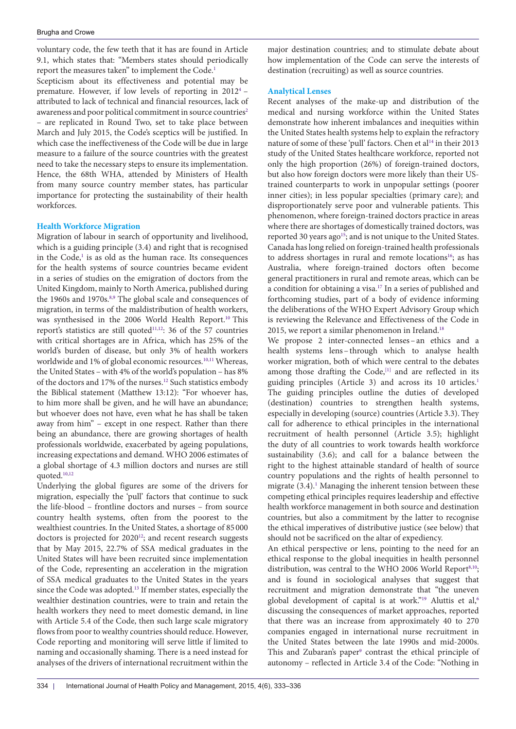voluntary code, the few teeth that it has are found in Article 9.1, which states that: "Members states should periodically report the measures taken" to implement the Code.<sup>1</sup>

Scepticism about its effectiveness and potential may be premature. However, if low levels of reporting in 2012[4](#page-3-3) – attributed to lack of technical and financial resources, lack of awareness and poor political commitment in source countries<sup>2</sup> – are replicated in Round Two, set to take place between March and July 2015, the Code's sceptics will be justified. In which case the ineffectiveness of the Code will be due in large measure to a failure of the source countries with the greatest need to take the necessary steps to ensure its implementation. Hence, the 68th WHA, attended by Ministers of Health from many source country member states, has particular importance for protecting the sustainability of their health workforces.

# **Health Workforce Migration**

Migration of labour in search of opportunity and livelihood, which is a guiding principle (3.4) and right that is recognised in the  $Code<sub>1</sub><sup>1</sup>$  $Code<sub>1</sub><sup>1</sup>$  $Code<sub>1</sub><sup>1</sup>$  is as old as the human race. Its consequences for the health systems of source countries became evident in a series of studies on the emigration of doctors from the United Kingdom, mainly to North America, published during the 1960s and 1970s.<sup>8[,9](#page-3-7)</sup> The global scale and consequences of migration, in terms of the maldistribution of health workers, was synthesised in the 2006 World Health Report.<sup>[10](#page-3-8)</sup> This report's statistics are still quoted<sup>[11](#page-3-9),[12](#page-3-10)</sup>: 36 of the 57 countries with critical shortages are in Africa, which has 25% of the world's burden of disease, but only 3% of health workers worldwide and 1% of global economic resources.<sup>10[,11](#page-3-9)</sup> Whereas, the United States – with 4% of the world's population – has 8% of the doctors and 17% of the nurses.<sup>[12](#page-3-10)</sup> Such statistics embody the Biblical statement (Matthew 13:12): "For whoever has, to him more shall be given, and he will have an abundance; but whoever does not have, even what he has shall be taken away from him" – except in one respect. Rather than there being an abundance, there are growing shortages of health professionals worldwide, exacerbated by ageing populations, increasing expectations and demand. WHO 2006 estimates of a global shortage of 4.3 million doctors and nurses are still quoted.<sup>10[,12](#page-3-10)</sup>

Underlying the global figures are some of the drivers for migration, especially the 'pull' factors that continue to suck the life-blood – frontline doctors and nurses – from source country health systems, often from the poorest to the wealthiest countries. In the United States, a shortage of 85 000 doctors is projected for 2020<sup>[12](#page-3-10)</sup>; and recent research suggests that by May 2015, 22.7% of SSA medical graduates in the United States will have been recruited since implementation of the Code, representing an acceleration in the migration of SSA medical graduates to the United States in the years since the Code was adopted.[13](#page-3-11) If member states, especially the wealthier destination countries, were to train and retain the health workers they need to meet domestic demand, in line with Article 5.4 of the Code, then such large scale migratory flows from poor to wealthy countries should reduce. However, Code reporting and monitoring will serve little if limited to naming and occasionally shaming. There is a need instead for analyses of the drivers of international recruitment within the

major destination countries; and to stimulate debate about how implementation of the Code can serve the interests of destination (recruiting) as well as source countries.

## **Analytical Lenses**

Recent analyses of the make-up and distribution of the medical and nursing workforce within the United States demonstrate how inherent imbalances and inequities within the United States health systems help to explain the refractory nature of some of these 'pull' factors. Chen et al<sup>[14](#page-3-12)</sup> in their 2013 study of the United States healthcare workforce, reported not only the high proportion (26%) of foreign-trained doctors, but also how foreign doctors were more likely than their UStrained counterparts to work in unpopular settings (poorer inner cities); in less popular specialties (primary care); and disproportionately serve poor and vulnerable patients. This phenomenon, where foreign-trained doctors practice in areas where there are shortages of domestically trained doctors, was reported 30 years ago<sup>15</sup>; and is not unique to the United States. Canada has long relied on foreign-trained health professionals to address shortages in rural and remote locations<sup>16</sup>; as has Australia, where foreign-trained doctors often become general practitioners in rural and remote areas, which can be a condition for obtaining a visa.[17](#page-3-15) In a series of published and forthcoming studies, part of a body of evidence informing the deliberations of the WHO Expert Advisory Group which is reviewing the Relevance and Effectiveness of the Code in 2015, we report a similar phenomenon in Ireland.<sup>[18](#page-3-16)</sup>

We propose 2 inter-connected lenses–an ethics and a health systems lens–through which to analyse health worker migration, both of which were central to the debates among those drafting the Code,<sup>[1]</sup> and are reflected in its guiding principles (Article 3) and across its [1](#page-3-0)0 articles.<sup>1</sup> The guiding principles outline the duties of developed (destination) countries to strengthen health systems, especially in developing (source) countries (Article 3.3). They call for adherence to ethical principles in the international recruitment of health personnel (Article 3.5); highlight the duty of all countries to work towards health workforce sustainability (3.6); and call for a balance between the right to the highest attainable standard of health of source country populations and the rights of health personnel to migrate  $(3.4)$ .<sup>1</sup> Managing the inherent tension between these competing ethical principles requires leadership and effective health workforce management in both source and destination countries, but also a commitment by the latter to recognise the ethical imperatives of distributive justice (see below) that should not be sacrificed on the altar of expediency.

An ethical perspective or lens, pointing to the need for an ethical response to the global inequities in health personnel distribution, was central to the WHO 2006 World Report<sup>[8,](#page-3-6)[10](#page-3-8)</sup>; and is found in sociological analyses that suggest that recruitment and migration demonstrate that "the uneven global development of capital is at work."<sup>[19](#page-3-17)</sup> Aluttis et al,<sup>6</sup> discussing the consequences of market approaches, reported that there was an increase from approximately 40 to 270 companies engaged in international nurse recruitment in the United States between the late 1990s and mid-2000s. This and Zubaran's paper<sup>[9](#page-3-7)</sup> contrast the ethical principle of autonomy – reflected in Article 3.4 of the Code: "Nothing in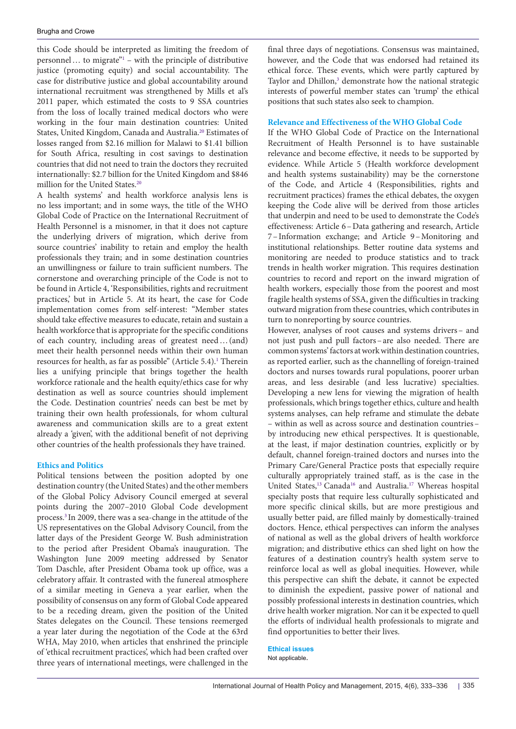this Code should be interpreted as limiting the freedom of personnel… to migrate["1](#page-3-0) – with the principle of distributive justice (promoting equity) and social accountability. The case for distributive justice and global accountability around international recruitment was strengthened by Mills et al's 2011 paper, which estimated the costs to 9 SSA countries from the loss of locally trained medical doctors who were working in the four main destination countries: United States, United Kingdom, Canada and Australia[.20](#page-3-18) Estimates of losses ranged from \$2.16 million for Malawi to \$1.41 billion for South Africa, resulting in cost savings to destination countries that did not need to train the doctors they recruited internationally: \$2.7 billion for the United Kingdom and \$846 million for the United States.[20](#page-3-18)

A health systems' and health workforce analysis lens is no less important; and in some ways, the title of the WHO Global Code of Practice on the International Recruitment of Health Personnel is a misnomer, in that it does not capture the underlying drivers of migration, which derive from source countries' inability to retain and employ the health professionals they train; and in some destination countries an unwillingness or failure to train sufficient numbers. The cornerstone and overarching principle of the Code is not to be found in Article 4, 'Responsibilities, rights and recruitment practices,' but in Article 5. At its heart, the case for Code implementation comes from self-interest: "Member states should take effective measures to educate, retain and sustain a health workforce that is appropriate for the specific conditions of each country, including areas of greatest need…(and) meet their health personnel needs within their own human resources for health, as far as possible" (Article 5.4).<sup>1</sup> Therein lies a unifying principle that brings together the health workforce rationale and the health equity/ethics case for why destination as well as source countries should implement the Code. Destination countries' needs can best be met by training their own health professionals, for whom cultural awareness and communication skills are to a great extent already a 'given', with the additional benefit of not depriving other countries of the health professionals they have trained.

## **Ethics and Politics**

Political tensions between the position adopted by one destination country (the United States) and the other members of the Global Policy Advisory Council emerged at several points during the 2007–2010 Global Code development process[.3 I](#page-3-2)n 2009, there was a sea-change in the attitude of the US representatives on the Global Advisory Council, from the latter days of the President George W. Bush administration to the period after President Obama's inauguration. The Washington June 2009 meeting addressed by Senator Tom Daschle, after President Obama took up office, was a celebratory affair. It contrasted with the funereal atmosphere of a similar meeting in Geneva a year earlier, when the possibility of consensus on any form of Global Code appeared to be a receding dream, given the position of the United States delegates on the Council. These tensions reemerged a year later during the negotiation of the Code at the 63rd WHA, May 2010, when articles that enshrined the principle of 'ethical recruitment practices', which had been crafted over three years of international meetings, were challenged in the

final three days of negotiations. Consensus was maintained, however, and the Code that was endorsed had retained its ethical force. These events, which were partly captured by Taylor and Dhillon,<sup>[3](#page-3-2)</sup> demonstrate how the national strategic interests of powerful member states can 'trump' the ethical positions that such states also seek to champion.

# **Relevance and Effectiveness of the WHO Global Code**

If the WHO Global Code of Practice on the International Recruitment of Health Personnel is to have sustainable relevance and become effective, it needs to be supported by evidence. While Article 5 (Health workforce development and health systems sustainability) may be the cornerstone of the Code, and Article 4 (Responsibilities, rights and recruitment practices) frames the ethical debates, the oxygen keeping the Code alive will be derived from those articles that underpin and need to be used to demonstrate the Code's effectiveness: Article 6–Data gathering and research, Article 7–Information exchange; and Article 9–Monitoring and institutional relationships. Better routine data systems and monitoring are needed to produce statistics and to track trends in health worker migration. This requires destination countries to record and report on the inward migration of health workers, especially those from the poorest and most fragile health systems of SSA, given the difficulties in tracking outward migration from these countries, which contributes in turn to nonreporting by source countries.

However, analyses of root causes and systems drivers– and not just push and pull factors–are also needed. There are common systems' factors at work within destination countries, as reported earlier, such as the channelling of foreign-trained doctors and nurses towards rural populations, poorer urban areas, and less desirable (and less lucrative) specialties. Developing a new lens for viewing the migration of health professionals, which brings together ethics, culture and health systems analyses, can help reframe and stimulate the debate – within as well as across source and destination countries– by introducing new ethical perspectives. It is questionable, at the least, if major destination countries, explicitly or by default, channel foreign-trained doctors and nurses into the Primary Care/General Practice posts that especially require culturally appropriately trained staff, as is the case in the United States,<sup>13</sup> Canada<sup>16</sup> and Australia.<sup>17</sup> Whereas hospital specialty posts that require less culturally sophisticated and more specific clinical skills, but are more prestigious and usually better paid, are filled mainly by domestically-trained doctors. Hence, ethical perspectives can inform the analyses of national as well as the global drivers of health workforce migration; and distributive ethics can shed light on how the features of a destination country's health system serve to reinforce local as well as global inequities. However, while this perspective can shift the debate, it cannot be expected to diminish the expedient, passive power of national and possibly professional interests in destination countries, which drive health worker migration. Nor can it be expected to quell the efforts of individual health professionals to migrate and find opportunities to better their lives.

## **Ethical issues**

Not applicable.